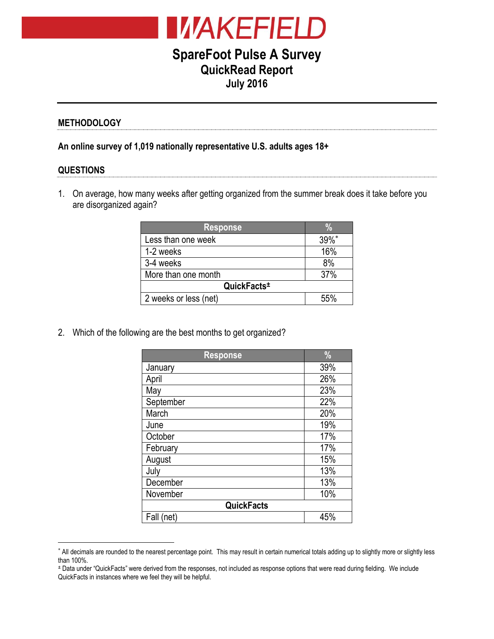

# **SpareFoot Pulse A Survey QuickRead Report July 2016**

### **METHODOLOGY**

**An online survey of 1,019 nationally representative U.S. adults ages 18+**

#### **QUESTIONS**

 $\overline{a}$ 

1. On average, how many weeks after getting organized from the summer break does it take before you are disorganized again?

| <b>Response</b>         |          |  |
|-------------------------|----------|--|
| Less than one week      | $39\%$ * |  |
| 1-2 weeks               | 16%      |  |
| 3-4 weeks               | 8%       |  |
| More than one month     | 37%      |  |
| QuickFacts <sup>±</sup> |          |  |
| 2 weeks or less (net)   | 55%      |  |

2. Which of the following are the best months to get organized?

| <b>Response</b>   | $\frac{0}{0}$ |
|-------------------|---------------|
| January           | 39%           |
| April             | 26%           |
| May               | 23%           |
| September         | 22%           |
| March             | 20%           |
| June              | 19%           |
| October           | 17%           |
| February          | 17%           |
| August            | 15%           |
| July              | 13%           |
| December          | 13%           |
| November          | 10%           |
| <b>QuickFacts</b> |               |
| Fall<br>net)      | 45%           |

<sup>\*</sup> All decimals are rounded to the nearest percentage point. This may result in certain numerical totals adding up to slightly more or slightly less than 100%.

<sup>±</sup> Data under "QuickFacts" were derived from the responses, not included as response options that were read during fielding. We include QuickFacts in instances where we feel they will be helpful.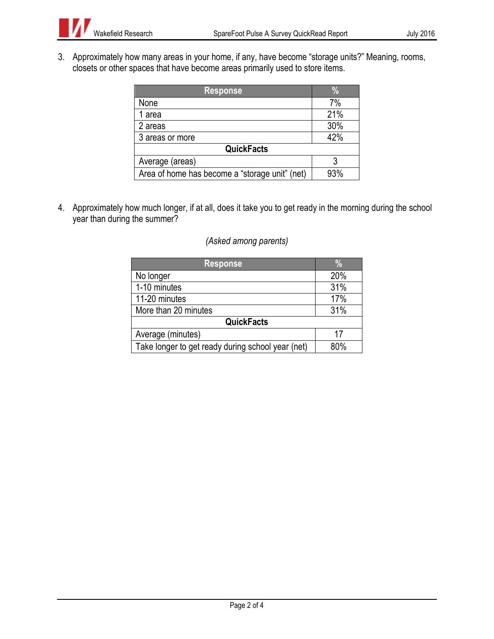3. Approximately how many areas in your home, if any, have become "storage units?" Meaning, rooms, closets or other spaces that have become areas primarily used to store items.

| <b>Response</b>                                | $\%$ |  |
|------------------------------------------------|------|--|
| None                                           | 7%   |  |
| 1 area                                         | 21%  |  |
| 2 areas                                        | 30%  |  |
| 3 areas or more                                | 42%  |  |
| <b>QuickFacts</b>                              |      |  |
| Average (areas)                                |      |  |
| Area of home has become a "storage unit" (net) | 93%  |  |

4. Approximately how much longer, if at all, does it take you to get ready in the morning during the school year than during the summer?

## *(Asked among parents)*

| <b>Response</b>                                   |     |
|---------------------------------------------------|-----|
| No longer                                         | 20% |
| 1-10 minutes                                      | 31% |
| 11-20 minutes                                     | 17% |
| More than 20 minutes                              | 31% |
| <b>QuickFacts</b>                                 |     |
| Average (minutes)                                 | 17  |
| Take longer to get ready during school year (net) | 80% |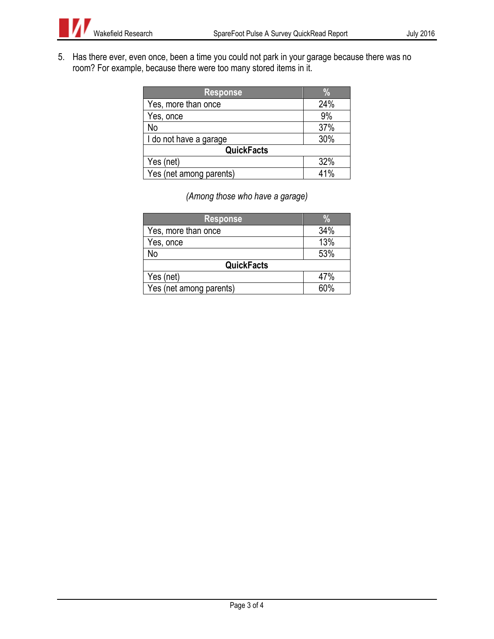

5. Has there ever, even once, been a time you could not park in your garage because there was no room? For example, because there were too many stored items in it.

| <b>Response</b>         | $\frac{1}{2}$ |  |
|-------------------------|---------------|--|
| Yes, more than once     | 24%           |  |
| Yes, once               | 9%            |  |
| No                      | 37%           |  |
| I do not have a garage  | 30%           |  |
| <b>QuickFacts</b>       |               |  |
| Yes (net)               | 32%           |  |
| Yes (net among parents) | 41%           |  |

*(Among those who have a garage)*

| <b>Response</b>         | $\%$ |  |
|-------------------------|------|--|
| Yes, more than once     | 34%  |  |
| Yes, once               | 13%  |  |
| No                      | 53%  |  |
| <b>QuickFacts</b>       |      |  |
| Yes (net)               | 47%  |  |
| Yes (net among parents) | 60%  |  |